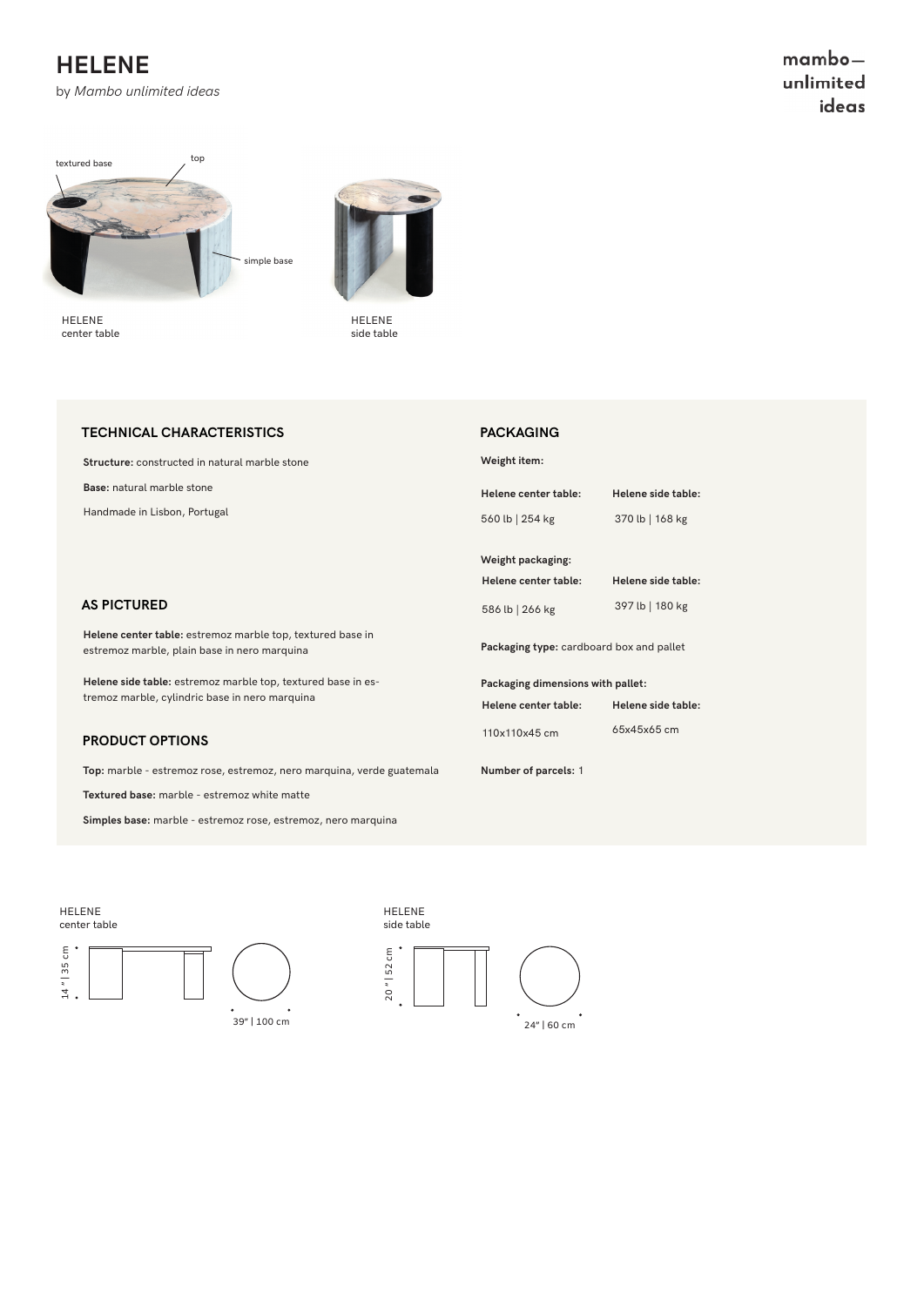## **HELENE**

by *Mambo unlimited ideas*

 $mambo$ unlimited ideas



HELENE center table



HELENE side table

#### **TECHNICAL CHARACTERISTICS**

**Structure:** constructed in natural marble stone

**Base:** natural marble stone

Handmade in Lisbon, Portugal

#### **AS PICTURED**

**Helene center table:** estremoz marble top, textured base in estremoz marble, plain base in nero marquina

**Helene side table:** estremoz marble top, textured base in estremoz marble, cylindric base in nero marquina

#### **PRODUCT OPTIONS**

Top: marble - estremoz rose, estremoz, nero marquina, verde guatemal

**Textured base:** marble - estremoz white matte

**Simples base:** marble - estremoz rose, estremoz, nero marquina

|    | PACKAGING                                |                    |
|----|------------------------------------------|--------------------|
|    | Weight item:                             |                    |
|    | Helene center table:                     | Helene side table: |
|    | 560 lb   254 kg                          | 370 lb   168 kg    |
|    | Weight packaging:                        |                    |
|    | Helene center table:                     | Helene side table: |
|    | 586 lb   266 kg                          | 397 lb   180 kg    |
|    | Packaging type: cardboard box and pallet |                    |
|    | Packaging dimensions with pallet:        |                    |
|    | Helene center table:                     | Helene side table: |
|    | 110x110x45 cm                            | 65x45x65 cm        |
| .a | Number of parcels: 1                     |                    |
|    |                                          |                    |
|    |                                          |                    |